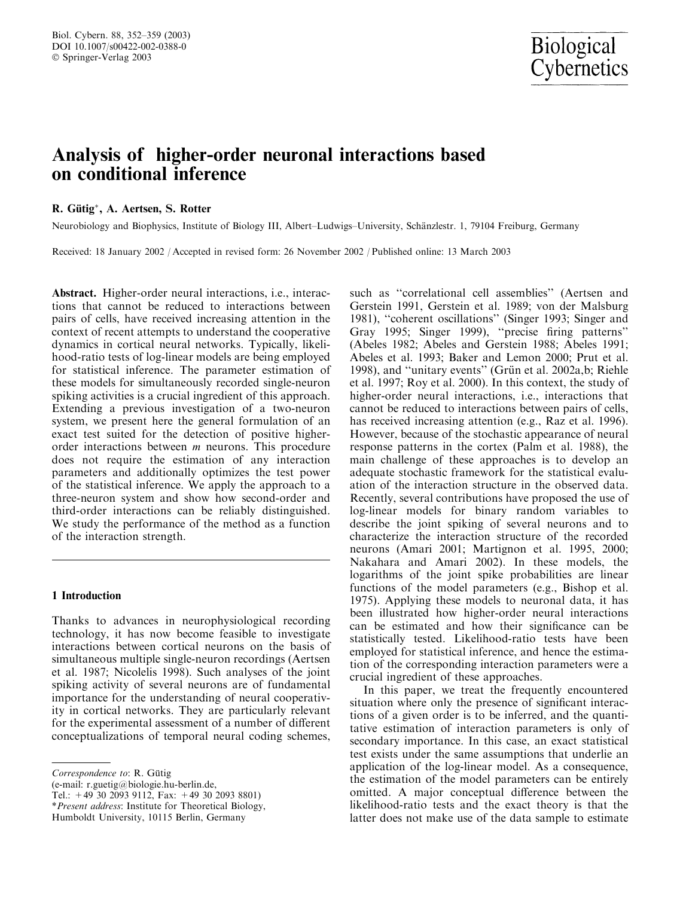# Analysis of higher-order neuronal interactions based on conditional inference

## R. Gütig\*, A. Aertsen, S. Rotter

Neurobiology and Biophysics, Institute of Biology III, Albert–Ludwigs–University, Schänzlestr. 1, 79104 Freiburg, Germany

Received: 18 January 2002 / Accepted in revised form: 26 November 2002 / Published online: 13 March 2003

Abstract. Higher-order neural interactions, i.e., interactions that cannot be reduced to interactions between pairs of cells, have received increasing attention in the context of recent attempts to understand the cooperative dynamics in cortical neural networks. Typically, likelihood-ratio tests of log-linear models are being employed for statistical inference. The parameter estimation of these models for simultaneously recorded single-neuron spiking activities is a crucial ingredient of this approach. Extending a previous investigation of a two-neuron system, we present here the general formulation of an exact test suited for the detection of positive higherorder interactions between  $m$  neurons. This procedure does not require the estimation of any interaction parameters and additionally optimizes the test power of the statistical inference. We apply the approach to a three-neuron system and show how second-order and third-order interactions can be reliably distinguished. We study the performance of the method as a function of the interaction strength.

## 1 Introduction

Thanks to advances in neurophysiological recording technology, it has now become feasible to investigate interactions between cortical neurons on the basis of simultaneous multiple single-neuron recordings (Aertsen et al. 1987; Nicolelis 1998). Such analyses of the joint spiking activity of several neurons are of fundamental importance for the understanding of neural cooperativity in cortical networks. They are particularly relevant for the experimental assessment of a number of different conceptualizations of temporal neural coding schemes,

(e-mail: r.guetig@biologie.hu-berlin.de,

such as ''correlational cell assemblies'' (Aertsen and Gerstein 1991, Gerstein et al. 1989; von der Malsburg 1981), ''coherent oscillations'' (Singer 1993; Singer and Gray 1995; Singer 1999), ''precise firing patterns'' (Abeles 1982; Abeles and Gerstein 1988; Abeles 1991; Abeles et al. 1993; Baker and Lemon 2000; Prut et al. 1998), and "unitary events" (Grün et al. 2002a,b; Riehle et al. 1997; Roy et al. 2000). In this context, the study of higher-order neural interactions, i.e., interactions that cannot be reduced to interactions between pairs of cells, has received increasing attention (e.g., Raz et al. 1996). However, because of the stochastic appearance of neural response patterns in the cortex (Palm et al. 1988), the main challenge of these approaches is to develop an adequate stochastic framework for the statistical evaluation of the interaction structure in the observed data. Recently, several contributions have proposed the use of log-linear models for binary random variables to describe the joint spiking of several neurons and to characterize the interaction structure of the recorded neurons (Amari 2001; Martignon et al. 1995, 2000; Nakahara and Amari 2002). In these models, the logarithms of the joint spike probabilities are linear functions of the model parameters (e.g., Bishop et al. 1975). Applying these models to neuronal data, it has been illustrated how higher-order neural interactions can be estimated and how their significance can be statistically tested. Likelihood-ratio tests have been employed for statistical inference, and hence the estimation of the corresponding interaction parameters were a crucial ingredient of these approaches.

In this paper, we treat the frequently encountered situation where only the presence of significant interactions of a given order is to be inferred, and the quantitative estimation of interaction parameters is only of secondary importance. In this case, an exact statistical test exists under the same assumptions that underlie an application of the log-linear model. As a consequence, the estimation of the model parameters can be entirely omitted. A major conceptual difference between the likelihood-ratio tests and the exact theory is that the latter does not make use of the data sample to estimate

Correspondence to: R. Gütig

Tel.: +49 30 2093 9112, Fax: +49 30 2093 8801)

<sup>\*</sup>Present address: Institute for Theoretical Biology,

Humboldt University, 10115 Berlin, Germany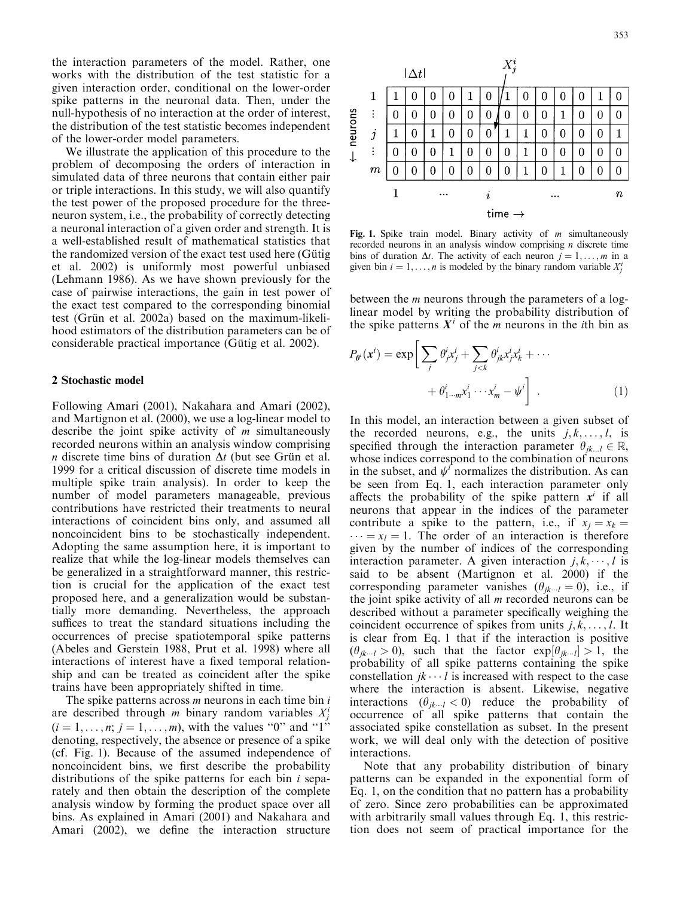the interaction parameters of the model. Rather, one works with the distribution of the test statistic for a given interaction order, conditional on the lower-order spike patterns in the neuronal data. Then, under the null-hypothesis of no interaction at the order of interest, the distribution of the test statistic becomes independent of the lower-order model parameters.

We illustrate the application of this procedure to the problem of decomposing the orders of interaction in simulated data of three neurons that contain either pair or triple interactions. In this study, we will also quantify the test power of the proposed procedure for the threeneuron system, i.e., the probability of correctly detecting a neuronal interaction of a given order and strength. It is a well-established result of mathematical statistics that the randomized version of the exact test used here (Gütig et al. 2002) is uniformly most powerful unbiased (Lehmann 1986). As we have shown previously for the case of pairwise interactions, the gain in test power of the exact test compared to the corresponding binomial test (Grün et al. 2002a) based on the maximum-likelihood estimators of the distribution parameters can be of considerable practical importance (Gütig et al. 2002).

## 2 Stochastic model

Following Amari (2001), Nakahara and Amari (2002), and Martignon et al. (2000), we use a log-linear model to describe the joint spike activity of  $m$  simultaneously recorded neurons within an analysis window comprising *n* discrete time bins of duration  $\Delta t$  (but see Grün et al. 1999 for a critical discussion of discrete time models in multiple spike train analysis). In order to keep the number of model parameters manageable, previous contributions have restricted their treatments to neural interactions of coincident bins only, and assumed all noncoincident bins to be stochastically independent. Adopting the same assumption here, it is important to realize that while the log-linear models themselves can be generalized in a straightforward manner, this restriction is crucial for the application of the exact test proposed here, and a generalization would be substantially more demanding. Nevertheless, the approach suffices to treat the standard situations including the occurrences of precise spatiotemporal spike patterns (Abeles and Gerstein 1988, Prut et al. 1998) where all interactions of interest have a fixed temporal relationship and can be treated as coincident after the spike trains have been appropriately shifted in time.

The spike patterns across  $m$  neurons in each time bin  $i$ are described through *m* binary random variables  $X_j^i$  $(i = 1, \ldots, n; j = 1, \ldots, m)$ , with the values "0" and "1" denoting, respectively, the absence or presence of a spike (cf. Fig. 1). Because of the assumed independence of noncoincident bins, we first describe the probability distributions of the spike patterns for each bin  $i$  separately and then obtain the description of the complete analysis window by forming the product space over all bins. As explained in Amari (2001) and Nakahara and Amari (2002), we define the interaction structure



Fig. 1. Spike train model. Binary activity of  $m$  simultaneously recorded neurons in an analysis window comprising  $n$  discrete time bins of duration  $\Delta t$ . The activity of each neuron  $j = 1, \ldots, m$  in a given bin  $i = 1, \ldots, n$  is modeled by the binary random variable  $X_j^i$ 

between the m neurons through the parameters of a loglinear model by writing the probability distribution of the spike patterns  $X^i$  of the m neurons in the *i*th bin as

$$
P_{\theta^i}(\mathbf{x}^i) = \exp\bigg[\sum_j \theta^i_j x^i_j + \sum_{j < k} \theta^i_{jk} x^i_j x^i_k + \cdots + \theta^i_{1 \cdots m} x^i_1 \cdots x^i_m - \psi^i\bigg] \tag{1}
$$

In this model, an interaction between a given subset of the recorded neurons, e.g., the units  $j, k, \ldots, l$ , is specified through the interaction parameter  $\theta_{ik...l} \in \mathbb{R}$ , whose indices correspond to the combination of neurons in the subset, and  $\psi^i$  normalizes the distribution. As can be seen from Eq. 1, each interaction parameter only affects the probability of the spike pattern  $x^i$  if all neurons that appear in the indices of the parameter contribute a spike to the pattern, i.e., if  $x_j = x_k$  $\cdots = x_l = 1$ . The order of an interaction is therefore given by the number of indices of the corresponding interaction parameter. A given interaction  $j, k, \dots, l$  is said to be absent (Martignon et al. 2000) if the corresponding parameter vanishes  $(\theta_{ik\cdots l} = 0)$ , i.e., if the joint spike activity of all  $m$  recorded neurons can be described without a parameter specifically weighing the coincident occurrence of spikes from units  $j, k, \ldots, l$ . It is clear from Eq. 1 that if the interaction is positive  $(\theta_{jk\cdots l} > 0)$ , such that the factor  $\exp[\theta_{jk\cdots l}] > 1$ , the probability of all spike patterns containing the spike constellation  $jk \cdots l$  is increased with respect to the case where the interaction is absent. Likewise, negative interactions  $(\theta_{jk\cdots l} < 0)$  reduce the probability of occurrence of all spike patterns that contain the associated spike constellation as subset. In the present work, we will deal only with the detection of positive interactions.

Note that any probability distribution of binary patterns can be expanded in the exponential form of Eq. 1, on the condition that no pattern has a probability of zero. Since zero probabilities can be approximated with arbitrarily small values through Eq. 1, this restriction does not seem of practical importance for the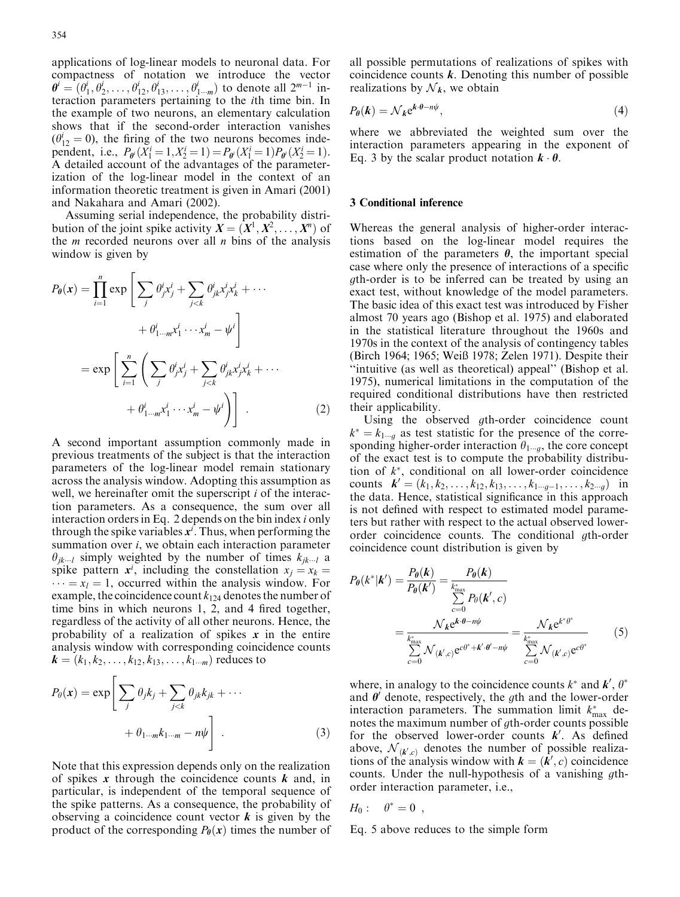applications of log-linear models to neuronal data. For compactness of notation we introduce the vector  $\theta^i = (\theta_1^i, \theta_2^i, \dots, \theta_{12}^i, \theta_{13}^i, \dots, \theta_{1-m}^i)$  to denote all  $2^{m-1}$  interaction parameters pertaining to the ith time bin. In the example of two neurons, an elementary calculation shows that if the second-order interaction vanishes  $(\theta_{12}^i = 0)$ , the firing of the two neurons becomes independent, i.e.,  $P_{\theta^i}(X_1^i = 1, X_2^i = 1) = P_{\theta^i}(X_1^i = 1)P_{\theta^i}(X_2^i = 1)$ . A detailed account of the advantages of the parameterization of the log-linear model in the context of an information theoretic treatment is given in Amari (2001) and Nakahara and Amari (2002).

Assuming serial independence, the probability distribution of the joint spike activity  $X = (X^1, X^2, \ldots, X^n)$  of the *m* recorded neurons over all *n* bins of the analysis window is given by

$$
P_{\theta}(\mathbf{x}) = \prod_{i=1}^{n} \exp\left[\sum_{j} \theta_{j}^{i} x_{j}^{i} + \sum_{j < k} \theta_{jk}^{i} x_{j}^{i} x_{k}^{i} + \cdots + \theta_{1\cdots m}^{i} x_{1}^{i} \cdots x_{m}^{i} - \psi^{i}\right]
$$
\n
$$
= \exp\left[\sum_{i=1}^{n} \left(\sum_{j} \theta_{j}^{i} x_{j}^{i} + \sum_{j < k} \theta_{jk}^{i} x_{j}^{i} x_{k}^{i} + \cdots + \theta_{1\cdots m}^{i} x_{1}^{i} \cdots x_{m}^{i} - \psi^{i}\right)\right].
$$
\n(2)

A second important assumption commonly made in previous treatments of the subject is that the interaction parameters of the log-linear model remain stationary across the analysis window. Adopting this assumption as well, we hereinafter omit the superscript  $i$  of the interaction parameters. As a consequence, the sum over all interaction orders in Eq. 2 depends on the bin index i only through the spike variables  $x^i$ . Thus, when performing the summation over  $i$ , we obtain each interaction parameter  $\theta_{ik\cdots l}$  simply weighted by the number of times  $k_{ik\cdots l}$  a spike pattern  $x^i$ , including the constellation  $x_j = x_k =$  $\cdots = x_l = 1$ , occurred within the analysis window. For example, the coincidence count  $k_{124}$  denotes the number of time bins in which neurons 1, 2, and 4 fired together, regardless of the activity of all other neurons. Hence, the probability of a realization of spikes  $x$  in the entire analysis window with corresponding coincidence counts  $k = (k_1, k_2, \ldots, k_{12}, k_{13}, \ldots, k_{1\cdots m})$  reduces to

$$
P_{\theta}(\mathbf{x}) = \exp\left[\sum_{j} \theta_{j} k_{j} + \sum_{j < k} \theta_{jk} k_{jk} + \cdots + \theta_{1 \cdots m} k_{1 \cdots m} - n\psi\right]. \tag{3}
$$

Note that this expression depends only on the realization of spikes x through the coincidence counts  $k$  and, in particular, is independent of the temporal sequence of the spike patterns. As a consequence, the probability of observing a coincidence count vector  $k$  is given by the product of the corresponding  $P_{\theta}(x)$  times the number of all possible permutations of realizations of spikes with coincidence counts  $k$ . Denoting this number of possible realizations by  $\mathcal{N}_k$ , we obtain

$$
P_{\theta}(\mathbf{k}) = \mathcal{N}_{\mathbf{k}} e^{\mathbf{k} \cdot \theta - n\psi},\tag{4}
$$

where we abbreviated the weighted sum over the interaction parameters appearing in the exponent of Eq. 3 by the scalar product notation  $\mathbf{k} \cdot \mathbf{\theta}$ .

#### 3 Conditional inference

Whereas the general analysis of higher-order interactions based on the log-linear model requires the estimation of the parameters  $\theta$ , the important special case where only the presence of interactions of a specific gth-order is to be inferred can be treated by using an exact test, without knowledge of the model parameters. The basic idea of this exact test was introduced by Fisher almost 70 years ago (Bishop et al. 1975) and elaborated in the statistical literature throughout the 1960s and 1970s in the context of the analysis of contingency tables (Birch 1964; 1965; Weiß 1978; Zelen 1971). Despite their ''intuitive (as well as theoretical) appeal'' (Bishop et al. 1975), numerical limitations in the computation of the required conditional distributions have then restricted their applicability.

Using the observed gth-order coincidence count  $k^* = k_{1 \cdots g}$  as test statistic for the presence of the corresponding higher-order interaction  $\theta_{1\cdots q}$ , the core concept of the exact test is to compute the probability distribution of  $k^*$ , conditional on all lower-order coincidence counts  $\mathbf{k}' = (k_1, k_2, \ldots, k_{12}, k_{13}, \ldots, k_{1 \cdots g-1}, \ldots, k_{2 \cdots g})$  in the data. Hence, statistical significance in this approach is not defined with respect to estimated model parameters but rather with respect to the actual observed lowerorder coincidence counts. The conditional gth-order coincidence count distribution is given by

$$
P_{\theta}(k^*|k') = \frac{P_{\theta}(k)}{P_{\theta}(k')} = \frac{P_{\theta}(k)}{\sum_{c=0}^{\frac{k^*_{\text{max}}}{\sum_{c=0}^{\sum_{c=0}^{\sum_{c=0}^{\sum_{c=0}^{\sum_{c=0}^{\sum_{c=0}^{\sum_{c=0}^{\sum_{c=0}^{\sum_{c=0}^{\sum_{c=0}^{\sum_{c=0}^{\sum_{c=0}^{\sum_{c=0}^{\sum_{c=0}^{\sum_{c=0}^{\sum_{c=0}^{\sum_{c=0}^{\sum_{c=0}^{\sum_{c=0}^{\sum_{c=0}^{\sum_{c=0}^{\sum_{c=0}^{\sum_{c=0}^{\sum_{c=0}^{\sum_{c=0}^{\sum_{c=0}^{\sum_{c=0}^{\sum_{c=0}^{\sum_{c=0}^{\sum_{c=0}^{\sum_{c=0}^{\sum_{c=0}^{\sum_{c=0}^{\sum_{c=0}^{\sum_{c=0}^{\sum_{c=0}^{\sum_{c=0}^{\sum_{c=0}^{\sum_{c=0}^{\sum_{c=0}^{\sum_{c=0}^{\sum_{c=0}^{\sum_{c=0}^{\sum_{c=0}^{\sum_{c=0}^{\sum_{c=0}^{\sum_{c=0}^{\sum_{c=0}^{\sum_{c=0}^{\sum_{c=0}^{\sum_{c=0}^{\sum_{c=0}^{\sum_{c=0}^{\sum_{c=0}^{\sum_{c=0}^{\sum_{c=0}^{\sum_{c=0}^{\sum_{c=0}^{\sum_{c=0}^{\sum_{c=0}^{\sum_{c=0}^{\sum_{c=0}^{\sum_{c=0}^{\sum_{c=0}^{\sum_{c=0}^{\sum_{c=0}^{\sum_{c=0}^{\sum_{c=0}^{\sum_{c=0}^{\sum_{c=0}^{\sum_{c=0}^{\sum_{c=0}^{\sum_{c=0}^{\sum_{c=0}^{\sum_{c=0}^{\sum_{c=0}^{\sum_{c=0}^{\sum_{c=0}^{\sum_{c=0}^{\sum_{c=0}^{\sum_{c=0}^{\sum_{c=0}^{\sum_{c=0}^{\sum_{c=0}^{\sum_{c=0}^{\sum_{c=0}^{\sum_{c=0}^{\sum
$$

where, in analogy to the coincidence counts  $k^*$  and  $k^{\prime}$ ,  $\theta^*$ and  $\theta'$  denote, respectively, the gth and the lower-order interaction parameters. The summation limit  $k_{\text{max}}^*$  denotes the maximum number of gth-order counts possible for the observed lower-order counts  $k'$ . As defined above,  $\mathcal{N}_{(k',c)}$  denotes the number of possible realizations of the analysis window with  $\mathbf{k} = (\hat{\mathbf{k}}', c)$  coincidence counts. Under the null-hypothesis of a vanishing gthorder interaction parameter, i.e.,

$$
H_0: \quad \theta^* = 0 \enspace,
$$

Eq. 5 above reduces to the simple form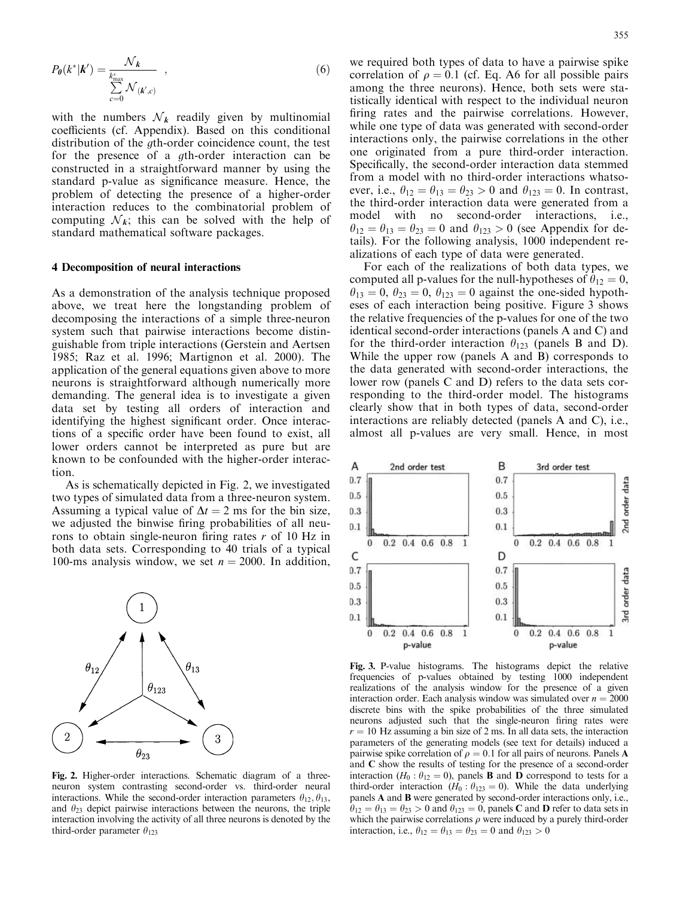$$
P_{\theta}(k^*|\mathbf{k}') = \frac{\mathcal{N}_k}{\sum_{c=0}^{k^*_{\text{max}}}\mathcal{N}_{(k',c)}} \quad , \tag{6}
$$

with the numbers  $\mathcal{N}_k$  readily given by multinomial coefficients (cf. Appendix). Based on this conditional distribution of the *a*th-order coincidence count, the test for the presence of a *g*th-order interaction can be constructed in a straightforward manner by using the standard p-value as significance measure. Hence, the problem of detecting the presence of a higher-order interaction reduces to the combinatorial problem of computing  $\mathcal{N}_k$ ; this can be solved with the help of standard mathematical software packages.

### 4 Decomposition of neural interactions

As a demonstration of the analysis technique proposed above, we treat here the longstanding problem of decomposing the interactions of a simple three-neuron system such that pairwise interactions become distinguishable from triple interactions (Gerstein and Aertsen 1985; Raz et al. 1996; Martignon et al. 2000). The application of the general equations given above to more neurons is straightforward although numerically more demanding. The general idea is to investigate a given data set by testing all orders of interaction and identifying the highest significant order. Once interactions of a specific order have been found to exist, all lower orders cannot be interpreted as pure but are known to be confounded with the higher-order interaction.

As is schematically depicted in Fig. 2, we investigated two types of simulated data from a three-neuron system. Assuming a typical value of  $\Delta t = 2$  ms for the bin size, we adjusted the binwise firing probabilities of all neurons to obtain single-neuron firing rates  $r$  of 10 Hz in both data sets. Corresponding to 40 trials of a typical 100-ms analysis window, we set  $n = 2000$ . In addition,



Fig. 2. Higher-order interactions. Schematic diagram of a threeneuron system contrasting second-order vs. third-order neural interactions. While the second-order interaction parameters  $\theta_{12}, \theta_{13}$ , and  $\theta_{23}$  depict pairwise interactions between the neurons, the triple interaction involving the activity of all three neurons is denoted by the third-order parameter  $\theta_{123}$ 

we required both types of data to have a pairwise spike correlation of  $\rho = 0.1$  (cf. Eq. A6 for all possible pairs among the three neurons). Hence, both sets were statistically identical with respect to the individual neuron firing rates and the pairwise correlations. However, while one type of data was generated with second-order interactions only, the pairwise correlations in the other one originated from a pure third-order interaction. Specifically, the second-order interaction data stemmed from a model with no third-order interactions whatsoever, i.e.,  $\theta_{12} = \theta_{13} = \theta_{23} > 0$  and  $\theta_{123} = 0$ . In contrast, the third-order interaction data were generated from a model with no second-order interactions, i.e.,  $\theta_{12} = \theta_{13} = \theta_{23} = 0$  and  $\theta_{123} > 0$  (see Appendix for details). For the following analysis, 1000 independent realizations of each type of data were generated.

For each of the realizations of both data types, we computed all p-values for the null-hypotheses of  $\theta_{12} = 0$ ,  $\theta_{13} = 0$ ,  $\theta_{23} = 0$ ,  $\theta_{123} = 0$  against the one-sided hypotheses of each interaction being positive. Figure 3 shows the relative frequencies of the p-values for one of the two identical second-order interactions (panels A and C) and for the third-order interaction  $\theta_{123}$  (panels B and D). While the upper row (panels A and B) corresponds to the data generated with second-order interactions, the lower row (panels C and D) refers to the data sets corresponding to the third-order model. The histograms clearly show that in both types of data, second-order interactions are reliably detected (panels A and C), i.e., almost all p-values are very small. Hence, in most



Fig. 3. P-value histograms. The histograms depict the relative frequencies of p-values obtained by testing 1000 independent realizations of the analysis window for the presence of a given interaction order. Each analysis window was simulated over  $n = 2000$ discrete bins with the spike probabilities of the three simulated neurons adjusted such that the single-neuron firing rates were  $r = 10$  Hz assuming a bin size of 2 ms. In all data sets, the interaction parameters of the generating models (see text for details) induced a pairwise spike correlation of  $\rho = 0.1$  for all pairs of neurons. Panels **A** and C show the results of testing for the presence of a second-order interaction ( $H_0$ :  $\theta_{12} = 0$ ), panels **B** and **D** correspond to tests for a third-order interaction ( $H_0$ :  $\theta_{123} = 0$ ). While the data underlying panels A and B were generated by second-order interactions only, i.e.,  $\theta_{12} = \theta_{13} = \theta_{23} > 0$  and  $\theta_{123} = 0$ , panels C and D refer to data sets in which the pairwise correlations  $\rho$  were induced by a purely third-order interaction, i.e.,  $\theta_{12} = \theta_{13} = \theta_{23} = 0$  and  $\theta_{123} > 0$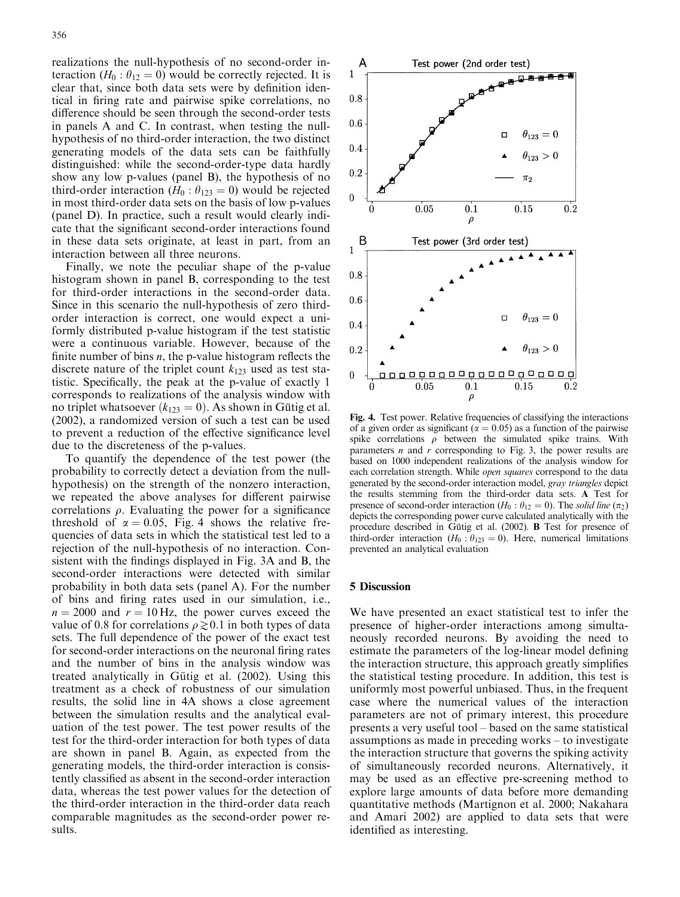realizations the null-hypothesis of no second-order interaction ( $H_0$ :  $\theta_{12} = 0$ ) would be correctly rejected. It is clear that, since both data sets were by definition identical in firing rate and pairwise spike correlations, no difference should be seen through the second-order tests in panels A and C. In contrast, when testing the nullhypothesis of no third-order interaction, the two distinct generating models of the data sets can be faithfully distinguished: while the second-order-type data hardly show any low p-values (panel B), the hypothesis of no third-order interaction ( $H_0$ :  $\theta_{123} = 0$ ) would be rejected in most third-order data sets on the basis of low p-values (panel D). In practice, such a result would clearly indicate that the significant second-order interactions found in these data sets originate, at least in part, from an interaction between all three neurons.

Finally, we note the peculiar shape of the p-value histogram shown in panel B, corresponding to the test for third-order interactions in the second-order data. Since in this scenario the null-hypothesis of zero thirdorder interaction is correct, one would expect a uniformly distributed p-value histogram if the test statistic were a continuous variable. However, because of the finite number of bins  $n$ , the p-value histogram reflects the discrete nature of the triplet count  $k_{123}$  used as test statistic. Specifically, the peak at the p-value of exactly 1 corresponds to realizations of the analysis window with no triplet whatsoever  $(k_{123} = 0)$ . As shown in Gütig et al. (2002), a randomized version of such a test can be used to prevent a reduction of the effective significance level due to the discreteness of the p-values.

To quantify the dependence of the test power (the probability to correctly detect a deviation from the nullhypothesis) on the strength of the nonzero interaction, we repeated the above analyses for different pairwise correlations  $\rho$ . Evaluating the power for a significance threshold of  $\alpha = 0.05$ , Fig. 4 shows the relative frequencies of data sets in which the statistical test led to a rejection of the null-hypothesis of no interaction. Consistent with the findings displayed in Fig. 3A and B, the second-order interactions were detected with similar probability in both data sets (panel A). For the number of bins and firing rates used in our simulation, i.e.,  $n = 2000$  and  $r = 10$  Hz, the power curves exceed the value of 0.8 for correlations  $\rho \gtrsim 0.1$  in both types of data sets. The full dependence of the power of the exact test for second-order interactions on the neuronal firing rates and the number of bins in the analysis window was treated analytically in Gütig et al. (2002). Using this treatment as a check of robustness of our simulation results, the solid line in 4A shows a close agreement between the simulation results and the analytical evaluation of the test power. The test power results of the test for the third-order interaction for both types of data are shown in panel B. Again, as expected from the generating models, the third-order interaction is consistently classified as absent in the second-order interaction data, whereas the test power values for the detection of the third-order interaction in the third-order data reach comparable magnitudes as the second-order power results.



Fig. 4. Test power. Relative frequencies of classifying the interactions of a given order as significant ( $\alpha = 0.05$ ) as a function of the pairwise spike correlations  $\rho$  between the simulated spike trains. With parameters  $n$  and  $r$  corresponding to Fig. 3, the power results are based on 1000 independent realizations of the analysis window for each correlation strength. While *open squares* correspond to the data generated by the second-order interaction model, gray triangles depict the results stemming from the third-order data sets. A Test for presence of second-order interaction ( $H_0$ :  $\theta_{12} = 0$ ). The solid line ( $\pi_2$ ) depicts the corresponding power curve calculated analytically with the procedure described in Gütig et al. (2002). **B** Test for presence of third-order interaction ( $H_0$ :  $\theta_{123} = 0$ ). Here, numerical limitations prevented an analytical evaluation

#### 5 Discussion

We have presented an exact statistical test to infer the presence of higher-order interactions among simultaneously recorded neurons. By avoiding the need to estimate the parameters of the log-linear model defining the interaction structure, this approach greatly simplifies the statistical testing procedure. In addition, this test is uniformly most powerful unbiased. Thus, in the frequent case where the numerical values of the interaction parameters are not of primary interest, this procedure presents a very useful tool – based on the same statistical assumptions as made in preceding works – to investigate the interaction structure that governs the spiking activity of simultaneously recorded neurons. Alternatively, it may be used as an effective pre-screening method to explore large amounts of data before more demanding quantitative methods (Martignon et al. 2000; Nakahara and Amari 2002) are applied to data sets that were identified as interesting.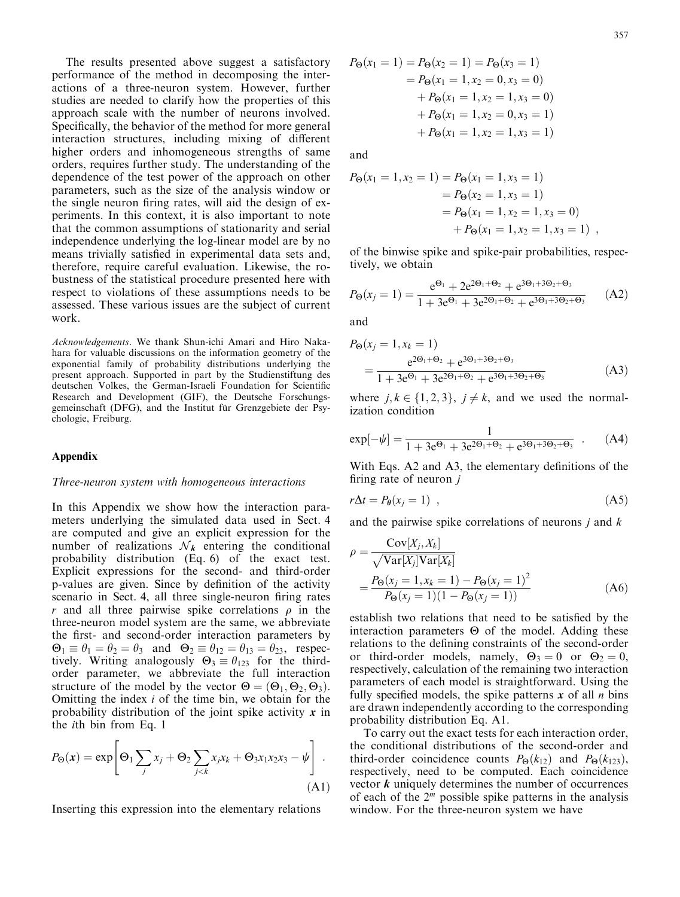The results presented above suggest a satisfactory performance of the method in decomposing the interactions of a three-neuron system. However, further studies are needed to clarify how the properties of this approach scale with the number of neurons involved. Specifically, the behavior of the method for more general interaction structures, including mixing of different higher orders and inhomogeneous strengths of same orders, requires further study. The understanding of the dependence of the test power of the approach on other parameters, such as the size of the analysis window or the single neuron firing rates, will aid the design of experiments. In this context, it is also important to note that the common assumptions of stationarity and serial independence underlying the log-linear model are by no means trivially satisfied in experimental data sets and, therefore, require careful evaluation. Likewise, the robustness of the statistical procedure presented here with respect to violations of these assumptions needs to be assessed. These various issues are the subject of current work.

Acknowledgements. We thank Shun-ichi Amari and Hiro Nakahara for valuable discussions on the information geometry of the exponential family of probability distributions underlying the present approach. Supported in part by the Studienstiftung des deutschen Volkes, the German-Israeli Foundation for Scientific Research and Development (GIF), the Deutsche Forschungsgemeinschaft (DFG), and the Institut für Grenzgebiete der Psychologie, Freiburg.

#### Appendix

#### Three-neuron system with homogeneous interactions

In this Appendix we show how the interaction parameters underlying the simulated data used in Sect. 4 are computed and give an explicit expression for the number of realizations  $\mathcal{N}_k$  entering the conditional probability distribution (Eq. 6) of the exact test. Explicit expressions for the second- and third-order p-values are given. Since by definition of the activity scenario in Sect. 4, all three single-neuron firing rates r and all three pairwise spike correlations  $\rho$  in the three-neuron model system are the same, we abbreviate the first- and second-order interaction parameters by  $\Theta_1 \equiv \theta_1 = \theta_2 = \theta_3$  and  $\Theta_2 \equiv \theta_{12} = \theta_{13} = \theta_{23}$ , respectively. Writing analogously  $\Theta_3 \equiv \theta_{123}$  for the thirdorder parameter, we abbreviate the full interaction structure of the model by the vector  $\Theta = (\Theta_1, \Theta_2, \Theta_3)$ . Omitting the index  $i$  of the time bin, we obtain for the probability distribution of the joint spike activity  $x$  in the ith bin from Eq. 1

$$
P_{\Theta}(\mathbf{x}) = \exp\left[\Theta_1 \sum_j x_j + \Theta_2 \sum_{j < k} x_j x_k + \Theta_3 x_1 x_2 x_3 - \psi\right].
$$
\n(A1)

Inserting this expression into the elementary relations

$$
P_{\Theta}(x_1 = 1) = P_{\Theta}(x_2 = 1) = P_{\Theta}(x_3 = 1)
$$
  
=  $P_{\Theta}(x_1 = 1, x_2 = 0, x_3 = 0)$   
+  $P_{\Theta}(x_1 = 1, x_2 = 1, x_3 = 0)$   
+  $P_{\Theta}(x_1 = 1, x_2 = 0, x_3 = 1)$   
+  $P_{\Theta}(x_1 = 1, x_2 = 1, x_3 = 1)$ 

and

$$
P_{\Theta}(x_1 = 1, x_2 = 1) = P_{\Theta}(x_1 = 1, x_3 = 1)
$$
  
=  $P_{\Theta}(x_2 = 1, x_3 = 1)$   
=  $P_{\Theta}(x_1 = 1, x_2 = 1, x_3 = 0)$   
+  $P_{\Theta}(x_1 = 1, x_2 = 1, x_3 = 1)$ ,

of the binwise spike and spike-pair probabilities, respectively, we obtain

$$
P_{\Theta}(x_j = 1) = \frac{e^{\Theta_1} + 2e^{2\Theta_1 + \Theta_2} + e^{3\Theta_1 + 3\Theta_2 + \Theta_3}}{1 + 3e^{\Theta_1} + 3e^{2\Theta_1 + \Theta_2} + e^{3\Theta_1 + 3\Theta_2 + \Theta_3}}
$$
(A2)

and

$$
P_{\Theta}(x_j = 1, x_k = 1)
$$
  
= 
$$
\frac{e^{2\Theta_1 + \Theta_2} + e^{3\Theta_1 + 3\Theta_2 + \Theta_3}}{1 + 3e^{\Theta_1} + 3e^{2\Theta_1 + \Theta_2} + e^{3\Theta_1 + 3\Theta_2 + \Theta_3}}
$$
(A3)

where  $j, k \in \{1, 2, 3\}, j \neq k$ , and we used the normalization condition

$$
\exp[-\psi] = \frac{1}{1 + 3e^{\Theta_1} + 3e^{2\Theta_1 + \Theta_2} + e^{3\Theta_1 + 3\Theta_2 + \Theta_3}} \quad . \tag{A4}
$$

With Eqs. A2 and A3, the elementary definitions of the firing rate of neuron  $j$ 

$$
r\Delta t = P_{\theta}(x_j = 1) \quad , \tag{A5}
$$

and the pairwise spike correlations of neurons  $\dot{\jmath}$  and  $\kappa$ 

$$
\rho = \frac{\text{Cov}[X_j, X_k]}{\sqrt{\text{Var}[X_j]\text{Var}[X_k]}}
$$
  
=  $\frac{P_{\Theta}(x_j = 1, x_k = 1) - P_{\Theta}(x_j = 1)^2}{P_{\Theta}(x_j = 1)(1 - P_{\Theta}(x_j = 1))}$  (A6)

establish two relations that need to be satisfied by the interaction parameters  $\Theta$  of the model. Adding these relations to the defining constraints of the second-order or third-order models, namely,  $\Theta_3 = 0$  or  $\Theta_2 = 0$ , respectively, calculation of the remaining two interaction parameters of each model is straightforward. Using the fully specified models, the spike patterns  $x$  of all  $n$  bins are drawn independently according to the corresponding probability distribution Eq. A1.

To carry out the exact tests for each interaction order, the conditional distributions of the second-order and third-order coincidence counts  $P_{\Theta}(k_{12})$  and  $P_{\Theta}(k_{123})$ , respectively, need to be computed. Each coincidence vector  $k$  uniquely determines the number of occurrences of each of the  $2<sup>m</sup>$  possible spike patterns in the analysis window. For the three-neuron system we have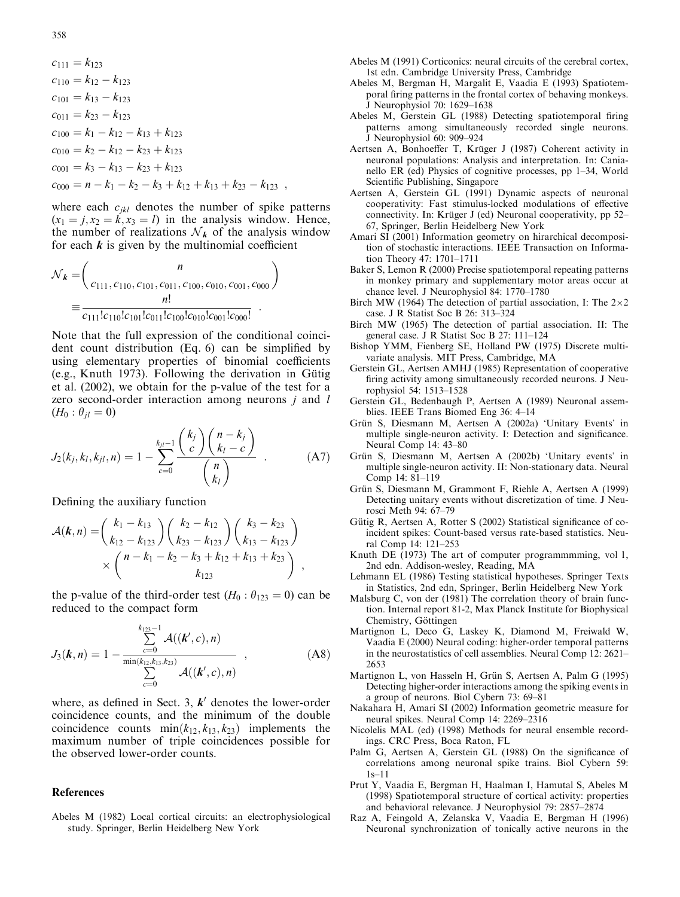$$
c_{111} = k_{123}
$$
  
\n
$$
c_{110} = k_{12} - k_{123}
$$
  
\n
$$
c_{101} = k_{13} - k_{123}
$$
  
\n
$$
c_{011} = k_{23} - k_{123}
$$
  
\n
$$
c_{100} = k_1 - k_{12} - k_{13} + k_{123}
$$
  
\n
$$
c_{010} = k_2 - k_{12} - k_{23} + k_{123}
$$
  
\n
$$
c_{001} = k_3 - k_{13} - k_{23} + k_{123}
$$
  
\n
$$
c_{000} = n - k_1 - k_2 - k_3 + k_{12} + k_{13} + k_{23} - k_{123}
$$
,

where each  $c_{ikl}$  denotes the number of spike patterns  $(x_1 = j, x_2 = k, x_3 = l)$  in the analysis window. Hence, the number of realizations  $\mathcal{N}_k$  of the analysis window for each  $k$  is given by the multinomial coefficient

$$
\mathcal{N}_k = \begin{pmatrix} n \\ c_{111}, c_{110}, c_{101}, c_{011}, c_{100}, c_{010}, c_{001}, c_{000} \end{pmatrix}
$$

$$
\equiv \frac{n!}{c_{111}!c_{110}!c_{101}!c_{011}!c_{100}!c_{010}!c_{001}!c_{000}!}.
$$

Note that the full expression of the conditional coincident count distribution (Eq. 6) can be simplified by using elementary properties of binomial coefficients (e.g., Knuth 1973). Following the derivation in Gütig et al. (2002), we obtain for the p-value of the test for a zero second-order interaction among neurons *j* and *l*  $(H_0: \theta_{il} = 0)$ 

$$
J_2(k_j, k_l, k_{jl}, n) = 1 - \sum_{c=0}^{k_{jl}-1} \frac{\binom{k_j}{c} \binom{n-k_j}{k_l - c}}{\binom{n}{k_l}} \tag{A7}
$$

Defining the auxiliary function

$$
\mathcal{A}(k,n) = {k_1 - k_{13} \choose k_{12} - k_{123}} {k_2 - k_{12} \choose k_{23} - k_{123}} {k_3 - k_{23} \choose k_{13} - k_{123}} \times {n - k_1 - k_2 - k_3 + k_{12} + k_{13} + k_{23} \choose k_{123}},
$$

the p-value of the third-order test  $(H_0: \theta_{123} = 0)$  can be reduced to the compact form

$$
J_3(\mathbf{k}, n) = 1 - \frac{\sum_{c=0}^{k_{123}-1} \mathcal{A}((\mathbf{k}', c), n)}{\sum_{c=0}^{k_{123}+1} \mathcal{A}((\mathbf{k}', c), n)},
$$
(A8)

where, as defined in Sect. 3,  $k'$  denotes the lower-order coincidence counts, and the minimum of the double coincidence counts  $min(k_{12}, k_{13}, k_{23})$  implements the maximum number of triple coincidences possible for the observed lower-order counts.

## References

Abeles M (1982) Local cortical circuits: an electrophysiological study. Springer, Berlin Heidelberg New York

- Abeles M (1991) Corticonics: neural circuits of the cerebral cortex, 1st edn. Cambridge University Press, Cambridge
- Abeles M, Bergman H, Margalit E, Vaadia E (1993) Spatiotemporal firing patterns in the frontal cortex of behaving monkeys. J Neurophysiol 70: 1629–1638
- Abeles M, Gerstein GL (1988) Detecting spatiotemporal firing patterns among simultaneously recorded single neurons. J Neurophysiol 60: 909–924
- Aertsen A, Bonhoeffer T, Krüger J (1987) Coherent activity in neuronal populations: Analysis and interpretation. In: Canianello ER (ed) Physics of cognitive processes, pp 1–34, World Scientific Publishing, Singapore
- Aertsen A, Gerstein GL (1991) Dynamic aspects of neuronal cooperativity: Fast stimulus-locked modulations of effective connectivity. In: Krüger J (ed) Neuronal cooperativity, pp 52– 67, Springer, Berlin Heidelberg New York
- Amari SI (2001) Information geometry on hirarchical decomposition of stochastic interactions. IEEE Transaction on Information Theory 47: 1701–1711
- Baker S, Lemon R (2000) Precise spatiotemporal repeating patterns in monkey primary and supplementary motor areas occur at chance level. J Neurophysiol 84: 1770–1780
- Birch MW (1964) The detection of partial association, I: The  $2\times2$ case. J R Statist Soc B 26: 313–324
- Birch MW(1965) The detection of partial association. II: The general case. J R Statist Soc B 27: 111–124
- Bishop YMM, Fienberg SE, Holland PW (1975) Discrete multivariate analysis. MIT Press, Cambridge, MA
- Gerstein GL, Aertsen AMHJ (1985) Representation of cooperative firing activity among simultaneously recorded neurons. J Neurophysiol 54: 1513–1528
- Gerstein GL, Bedenbaugh P, Aertsen A (1989) Neuronal assemblies. IEEE Trans Biomed Eng 36: 4–14
- Grün S, Diesmann M, Aertsen A (2002a) 'Unitary Events' in multiple single-neuron activity. I: Detection and significance. Neural Comp 14: 43–80
- Grün S, Diesmann M, Aertsen A (2002b) 'Unitary events' in multiple single-neuron activity. II: Non-stationary data. Neural Comp 14: 81–119
- Grün S, Diesmann M, Grammont F, Riehle A, Aertsen A (1999) Detecting unitary events without discretization of time. J Neurosci Meth 94: 67–79
- Gütig R, Aertsen A, Rotter S (2002) Statistical significance of coincident spikes: Count-based versus rate-based statistics. Neural Comp 14: 121–253
- Knuth DE (1973) The art of computer programmmming, vol 1, 2nd edn. Addison-wesley, Reading, MA
- Lehmann EL (1986) Testing statistical hypotheses. Springer Texts in Statistics, 2nd edn, Springer, Berlin Heidelberg New York
- Malsburg C, von der (1981) The correlation theory of brain function. Internal report 81-2, Max Planck Institute for Biophysical Chemistry, Göttingen
- Martignon L, Deco G, Laskey K, Diamond M, Freiwald W, Vaadia E (2000) Neural coding: higher-order temporal patterns in the neurostatistics of cell assemblies. Neural Comp 12: 2621– 2653
- Martignon L, von Hasseln H, Grün S, Aertsen A, Palm G (1995) Detecting higher-order interactions among the spiking events in a group of neurons. Biol Cybern 73: 69–81
- Nakahara H, Amari SI (2002) Information geometric measure for neural spikes. Neural Comp 14: 2269–2316
- Nicolelis MAL (ed) (1998) Methods for neural ensemble recordings. CRC Press, Boca Raton, FL
- Palm G, Aertsen A, Gerstein GL (1988) On the significance of correlations among neuronal spike trains. Biol Cybern 59: 1s–11
- Prut Y, Vaadia E, Bergman H, Haalman I, Hamutal S, Abeles M (1998) Spatiotemporal structure of cortical activity: properties and behavioral relevance. J Neurophysiol 79: 2857–2874
- Raz A, Feingold A, Zelanska V, Vaadia E, Bergman H (1996) Neuronal synchronization of tonically active neurons in the